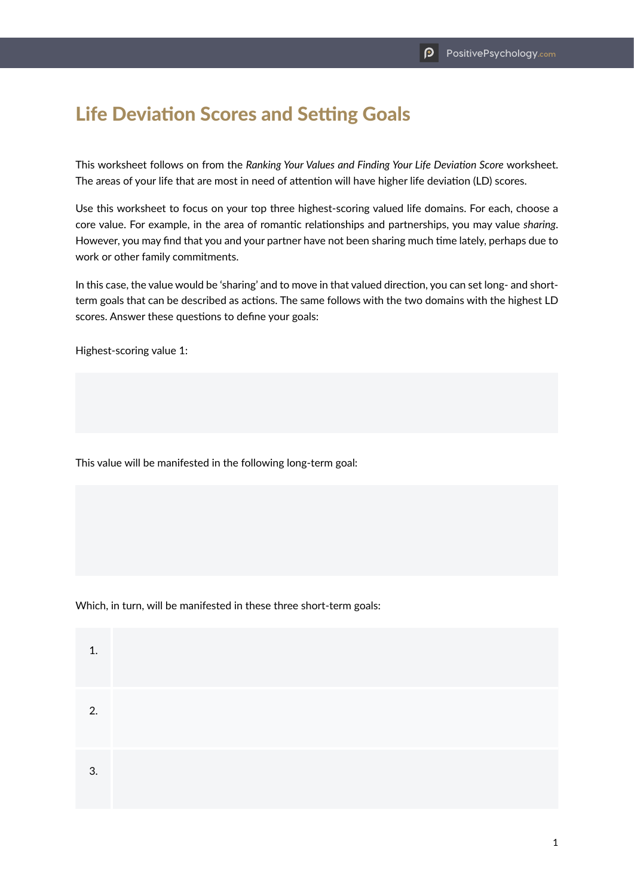## Life Deviation Scores and Setting Goals

This worksheet follows on from the *Ranking Your Values and Finding Your Life Deviation Score* worksheet. The areas of your life that are most in need of attention will have higher life deviation (LD) scores.

Use this worksheet to focus on your top three highest-scoring valued life domains. For each, choose a core value. For example, in the area of romantic relationships and partnerships, you may value *sharing*. However, you may find that you and your partner have not been sharing much time lately, perhaps due to work or other family commitments.

In this case, the value would be 'sharing' and to move in that valued direction, you can set long- and shortterm goals that can be described as actions. The same follows with the two domains with the highest LD scores. Answer these questions to define your goals:

Highest-scoring value 1:

This value will be manifested in the following long-term goal:

Which, in turn, will be manifested in these three short-term goals:

| 1  |  |  |  |
|----|--|--|--|
| 2. |  |  |  |
| 3. |  |  |  |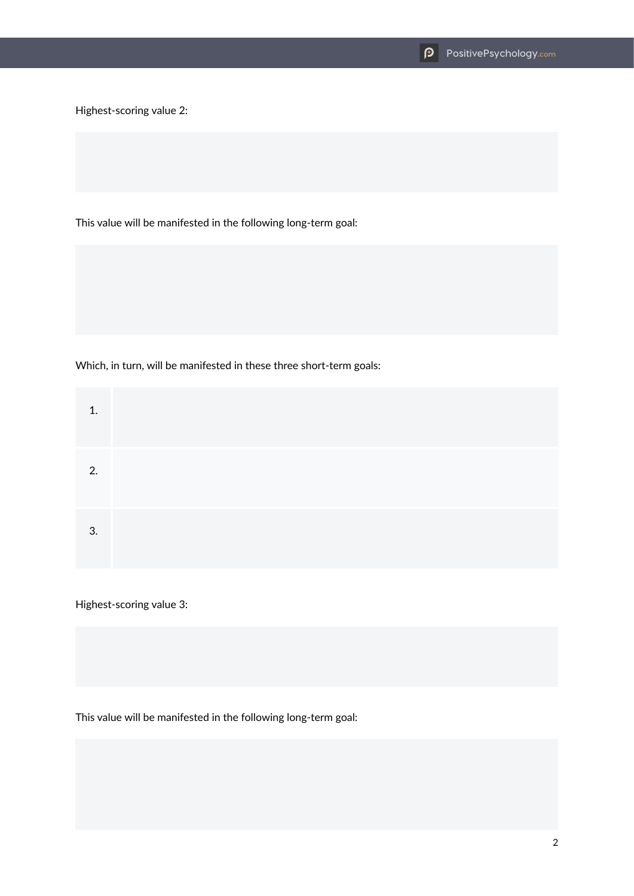Highest-scoring value 2:

This value will be manifested in the following long-term goal:

Which, in turn, will be manifested in these three short-term goals:

| 1. |  |  |  |
|----|--|--|--|
| 2. |  |  |  |
| 3. |  |  |  |

Highest-scoring value 3:

This value will be manifested in the following long-term goal: